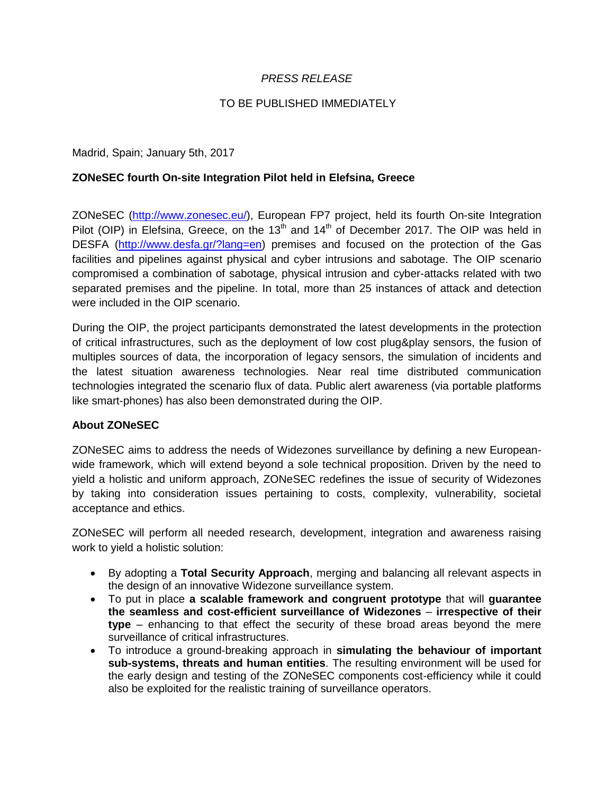## *PRESS RELEASE*

## TO BE PUBLISHED IMMEDIATELY

Madrid, Spain; January 5th, 2017

## **ZONeSEC fourth On-site Integration Pilot held in Elefsina, Greece**

ZONeSEC (http://www.zonesec.eu/), European FP7 project, held its fourth On-site Integration Pilot (OIP) in Elefsina, Greece, on the 13<sup>th</sup> and 14<sup>th</sup> of December 2017. The OIP was held in DESFA (http://www.desfa.gr/?lang=en) premises and focused on the protection of the Gas facilities and pipelines against physical and cyber intrusions and sabotage. The OIP scenario compromised a combination of sabotage, physical intrusion and cyber-attacks related with two separated premises and the pipeline. In total, more than 25 instances of attack and detection were included in the OIP scenario.

During the OIP, the project participants demonstrated the latest developments in the protection of critical infrastructures, such as the deployment of low cost plug&play sensors, the fusion of multiples sources of data, the incorporation of legacy sensors, the simulation of incidents and the latest situation awareness technologies. Near real time distributed communication technologies integrated the scenario flux of data. Public alert awareness (via portable platforms like smart-phones) has also been demonstrated during the OIP.

## **About ZONeSEC**

ZONeSEC aims to address the needs of Widezones surveillance by defining a new Europeanwide framework, which will extend beyond a sole technical proposition. Driven by the need to yield a holistic and uniform approach, ZONeSEC redefines the issue of security of Widezones by taking into consideration issues pertaining to costs, complexity, vulnerability, societal acceptance and ethics.

ZONeSEC will perform all needed research, development, integration and awareness raising work to yield a holistic solution:

- By adopting a **Total Security Approach**, merging and balancing all relevant aspects in the design of an innovative Widezone surveillance system.
- To put in place **a scalable framework and congruent prototype** that will **guarantee the seamless and cost-efficient surveillance of Widezones** – **irrespective of their type** – enhancing to that effect the security of these broad areas beyond the mere surveillance of critical infrastructures.
- To introduce a ground-breaking approach in **simulating the behaviour of important sub-systems, threats and human entities**. The resulting environment will be used for the early design and testing of the ZONeSEC components cost-efficiency while it could also be exploited for the realistic training of surveillance operators.